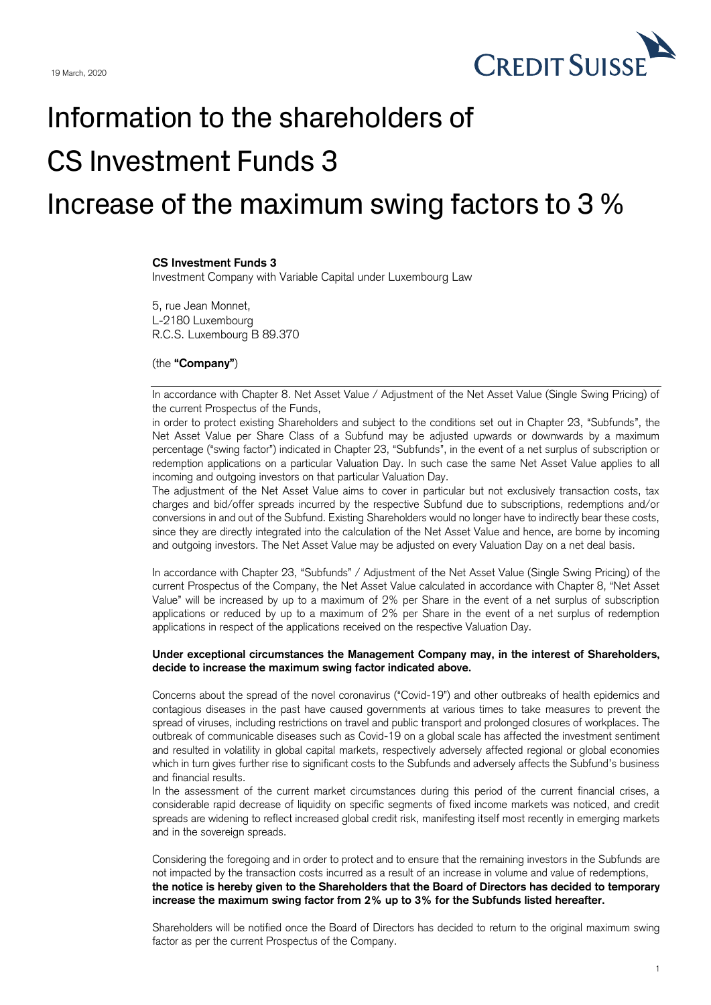

## Information to the shareholders of CS Investment Funds 3 Increase of the maximum swing factors to 3 %

## **CS Investment Funds 3**

Investment Company with Variable Capital under Luxembourg Law

5, rue Jean Monnet, L-2180 Luxembourg R.C.S. Luxembourg B 89.370

## (the **"Company"**)

In accordance with Chapter 8. Net Asset Value / Adjustment of the Net Asset Value (Single Swing Pricing) of the current Prospectus of the Funds,

in order to protect existing Shareholders and subject to the conditions set out in Chapter 23, "Subfunds", the Net Asset Value per Share Class of a Subfund may be adjusted upwards or downwards by a maximum percentage ("swing factor") indicated in Chapter 23, "Subfunds", in the event of a net surplus of subscription or redemption applications on a particular Valuation Day. In such case the same Net Asset Value applies to all incoming and outgoing investors on that particular Valuation Day.

The adjustment of the Net Asset Value aims to cover in particular but not exclusively transaction costs, tax charges and bid/offer spreads incurred by the respective Subfund due to subscriptions, redemptions and/or conversions in and out of the Subfund. Existing Shareholders would no longer have to indirectly bear these costs, since they are directly integrated into the calculation of the Net Asset Value and hence, are borne by incoming and outgoing investors. The Net Asset Value may be adjusted on every Valuation Day on a net deal basis.

In accordance with Chapter 23, "Subfunds" / Adjustment of the Net Asset Value (Single Swing Pricing) of the current Prospectus of the Company, the Net Asset Value calculated in accordance with Chapter 8, "Net Asset Value" will be increased by up to a maximum of 2% per Share in the event of a net surplus of subscription applications or reduced by up to a maximum of 2% per Share in the event of a net surplus of redemption applications in respect of the applications received on the respective Valuation Day.

## **Under exceptional circumstances the Management Company may, in the interest of Shareholders, decide to increase the maximum swing factor indicated above.**

Concerns about the spread of the novel coronavirus ("Covid-19") and other outbreaks of health epidemics and contagious diseases in the past have caused governments at various times to take measures to prevent the spread of viruses, including restrictions on travel and public transport and prolonged closures of workplaces. The outbreak of communicable diseases such as Covid-19 on a global scale has affected the investment sentiment and resulted in volatility in global capital markets, respectively adversely affected regional or global economies which in turn gives further rise to significant costs to the Subfunds and adversely affects the Subfund's business and financial results.

In the assessment of the current market circumstances during this period of the current financial crises, a considerable rapid decrease of liquidity on specific segments of fixed income markets was noticed, and credit spreads are widening to reflect increased global credit risk, manifesting itself most recently in emerging markets and in the sovereign spreads.

Considering the foregoing and in order to protect and to ensure that the remaining investors in the Subfunds are not impacted by the transaction costs incurred as a result of an increase in volume and value of redemptions, **the notice is hereby given to the Shareholders that the Board of Directors has decided to temporary increase the maximum swing factor from 2% up to 3% for the Subfunds listed hereafter.**

Shareholders will be notified once the Board of Directors has decided to return to the original maximum swing factor as per the current Prospectus of the Company.